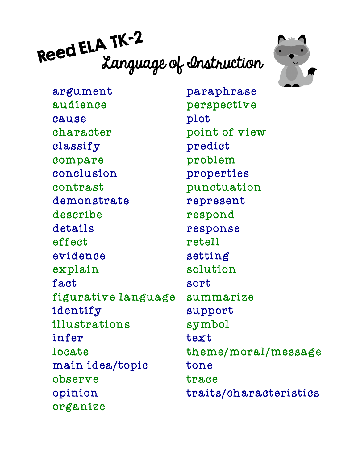# Reed ELA IR-2<br>Language of Instruction



argument audience cause character classify compare conclusion contrast demonstrate describe details effect evidence explain fact figurative language identify illustrations infer locate main idea/topic observe opinion organize

paraphrase perspective plot point of view predict problem properties punctuation represent respond response retell setting solution sort summarize support symbol text theme/moral/message tone trace traits/characteristics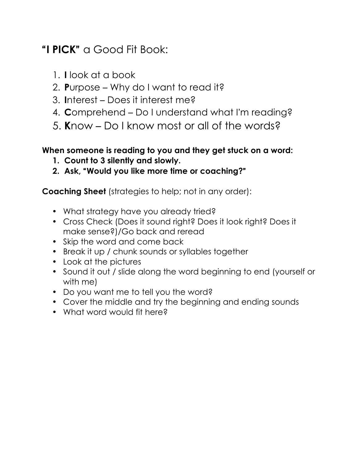## "**I PICK**" a Good Fit Book:

- 1. **I** look at a book
- 2. **P**urpose Why do I want to read it?
- 3. **I**nterest Does it interest me?
- 4. **C**omprehend Do I understand what I'm reading?
- 5. **K**now Do I know most or all of the words?

### **When someone is reading to you and they get stuck on a word:**

- **1. Count to 3 silently and slowly.**
- **2. Ask,** "**Would you like more time or coaching?**"

**Coaching Sheet** (strategies to help; not in any order):

- What strategy have you already tried?
- Cross Check (Does it sound right? Does it look right? Does it make sense?)/Go back and reread
- Skip the word and come back
- Break it up / chunk sounds or syllables together
- Look at the pictures
- Sound it out / slide along the word beginning to end (yourself or with me)
- Do you want me to tell you the word?
- Cover the middle and try the beginning and ending sounds
- What word would fit here?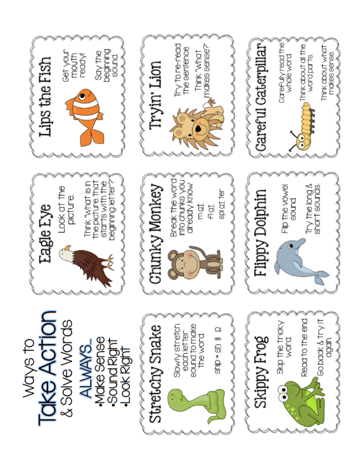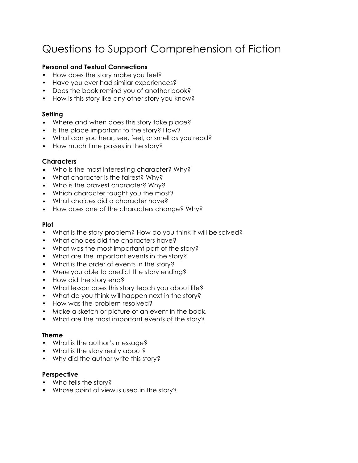# Questions to Support Comprehension of Fiction

#### **Personal and Textual Connections**

- How does the story make you feel?
- Have you ever had similar experiences?
- Does the book remind you of another book?
- How is this story like any other story you know?

#### **Setting**

- Where and when does this story take place?
- Is the place important to the story? How?
- What can you hear, see, feel, or smell as you read?
- How much time passes in the story?

#### **Characters**

- Who is the most interesting character? Why?
- What character is the fairest? Why?
- Who is the bravest character? Why?
- Which character taught you the most?
- What choices did a character have?
- How does one of the characters change? Why?

#### **Plot**

- What is the story problem? How do you think it will be solved?
- What choices did the characters have?
- What was the most important part of the story?
- What are the important events in the story?
- What is the order of events in the story?
- Were you able to predict the story ending?
- How did the story end?
- What lesson does this story teach you about life?
- What do you think will happen next in the story?
- How was the problem resolved?
- Make a sketch or picture of an event in the book.
- What are the most important events of the story?

#### **Theme**

- What is the author's message?
- What is the story really about?
- Why did the author write this story?

#### **Perspective**

- Who tells the story?
- Whose point of view is used in the story?